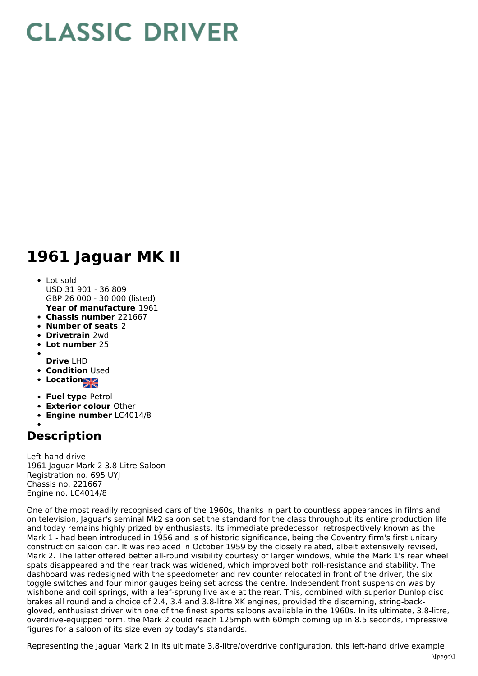## **CLASSIC DRIVER**

## **1961 Jaguar MK II**

- **Year of manufacture** 1961 Lot sold USD 31 901 - 36 809 GBP 26 000 - 30 000 (listed)
- **Chassis number** 221667
- **Number of seats** 2
- **Drivetrain** 2wd
- **Lot number** 25
- 
- **Drive** LHD
- **Condition Used**
- **Locations**
- **Fuel type** Petrol
- **Exterior colour** Other
- **Engine number** LC4014/8

## **Description**

Left-hand drive 1961 Jaguar Mark 2 3.8-Litre Saloon Registration no. 695 UYJ Chassis no. 221667 Engine no. LC4014/8

One of the most readily recognised cars of the 1960s, thanks in part to countless appearances in films and on television, Jaguar's seminal Mk2 saloon set the standard for the class throughout its entire production life and today remains highly prized by enthusiasts. Its immediate predecessor retrospectively known as the Mark 1 - had been introduced in 1956 and is of historic significance, being the Coventry firm's first unitary construction saloon car. It was replaced in October 1959 by the closely related, albeit extensively revised, Mark 2. The latter offered better all-round visibility courtesy of larger windows, while the Mark 1's rear wheel spats disappeared and the rear track was widened, which improved both roll-resistance and stability. The dashboard was redesigned with the speedometer and rev counter relocated in front of the driver, the six toggle switches and four minor gauges being set across the centre. Independent front suspension was by wishbone and coil springs, with a leaf-sprung live axle at the rear. This, combined with superior Dunlop disc brakes all round and a choice of 2.4, 3.4 and 3.8-litre XK engines, provided the discerning, string-backgloved, enthusiast driver with one of the finest sports saloons available in the 1960s. In its ultimate, 3.8-litre, overdrive-equipped form, the Mark 2 could reach 125mph with 60mph coming up in 8.5 seconds, impressive figures for a saloon of its size even by today's standards.

Representing the Jaguar Mark 2 in its ultimate 3.8-litre/overdrive configuration, this left-hand drive example